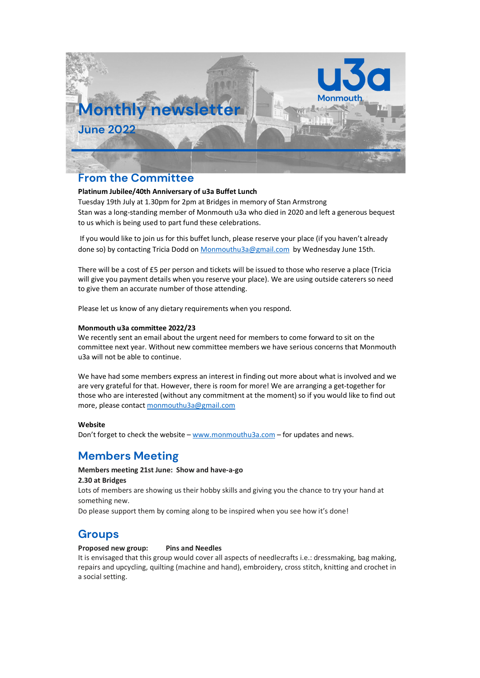

## **From the Committee**

## **Platinum Jubilee/40th Anniversary of u3a Buffet Lunch**

Tuesday 19th July at 1.30pm for 2pm at Bridges in memory of Stan Armstrong Stan was a long-standing member of Monmouth u3a who died in 2020 and left a generous bequest to us which is being used to part fund these celebrations.

If you would like to join us for this buffet lunch, please reserve your place (if you haven't already done so) by contacting Tricia Dodd on Monmouthu3a@gmail.com by Wednesday June 15th.

There will be a cost of £5 per person and tickets will be issued to those who reserve a place (Tricia will give you payment details when you reserve your place). We are using outside caterers so need to give them an accurate number of those attending.

Please let us know of any dietary requirements when you respond.

## **Monmouth u3a committee 2022/23**

We recently sent an email about the urgent need for members to come forward to sit on the committee next year. Without new committee members we have serious concerns that Monmouth u3a will not be able to continue.

We have had some members express an interest in finding out more about what is involved and we are very grateful for that. However, there is room for more! We are arranging a get-together for those who are interested (without any commitment at the moment) so if you would like to find out more, please contact monmouthu3a@gmail.com

## **Website**

Don't forget to check the website  $-$  www.monmouthu3a.com  $-$  for updates and news.

# **Members Meeting**

## **Members meeting 21st June: Show and have-a-go**

## **2.30 at Bridges**

Lots of members are showing us their hobby skills and giving you the chance to try your hand at something new.

Do please support them by coming along to be inspired when you see how it's done!

## **Groups**

## **Proposed new group: Pins and Needles**

It is envisaged that this group would cover all aspects of needlecrafts i.e.: dressmaking, bag making, repairs and upcycling, quilting (machine and hand), embroidery, cross stitch, knitting and crochet in a social setting.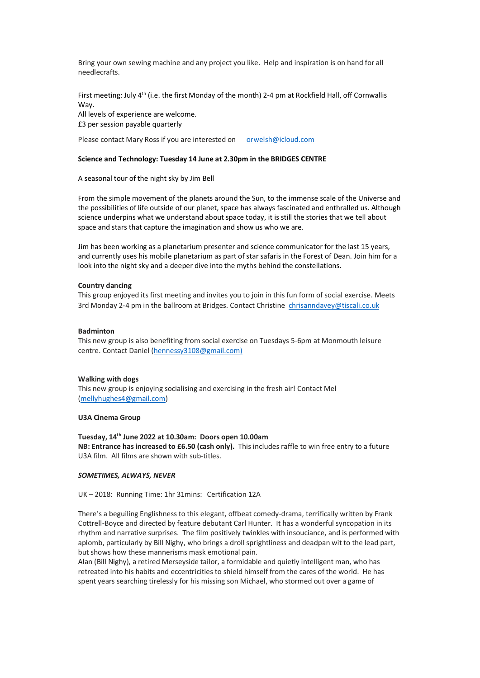Bring your own sewing machine and any project you like. Help and inspiration is on hand for all needlecrafts.

First meeting: July 4<sup>th</sup> (i.e. the first Monday of the month) 2-4 pm at Rockfield Hall, off Cornwallis Way.

All levels of experience are welcome. £3 per session payable quarterly

Please contact Mary Ross if you are interested on orwelsh@icloud.com

### **Science and Technology: Tuesday 14 June at 2.30pm in the BRIDGES CENTRE**

A seasonal tour of the night sky by Jim Bell

From the simple movement of the planets around the Sun, to the immense scale of the Universe and the possibilities of life outside of our planet, space has always fascinated and enthralled us. Although science underpins what we understand about space today, it is still the stories that we tell about space and stars that capture the imagination and show us who we are.

Jim has been working as a planetarium presenter and science communicator for the last 15 years, and currently uses his mobile planetarium as part of star safaris in the Forest of Dean. Join him for a look into the night sky and a deeper dive into the myths behind the constellations.

#### **Country dancing**

This group enjoyed its first meeting and invites you to join in this fun form of social exercise. Meets 3rd Monday 2-4 pm in the ballroom at Bridges. Contact Christine chrisanndavey@tiscali.co.uk

#### **Badminton**

This new group is also benefiting from social exercise on Tuesdays 5-6pm at Monmouth leisure centre. Contact Daniel (hennessy3108@gmail.com)

#### **Walking with dogs**

This new group is enjoying socialising and exercising in the fresh air! Contact Mel (mellyhughes4@gmail.com)

#### **U3A Cinema Group**

## **Tuesday, 14th June 2022 at 10.30am: Doors open 10.00am**

**NB: Entrance has increased to £6.50 (cash only).** This includes raffle to win free entry to a future U3A film. All films are shown with sub-titles.

#### *SOMETIMES, ALWAYS, NEVER*

UK-2018: Running Time: 1hr 31mins: Certification 12A

There's a beguiling Englishness to this elegant, offbeat comedy-drama, terrifically written by Frank Cottrell-Boyce and directed by feature debutant Carl Hunter. It has a wonderful syncopation in its rhythm and narrative surprises. The film positively twinkles with insouciance, and is performed with aplomb, particularly by Bill Nighy, who brings a droll sprightliness and deadpan wit to the lead part, but shows how these mannerisms mask emotional pain.

Alan (Bill Nighy), a retired Merseyside tailor, a formidable and quietly intelligent man, who has retreated into his habits and eccentricities to shield himself from the cares of the world. He has spent years searching tirelessly for his missing son Michael, who stormed out over a game of